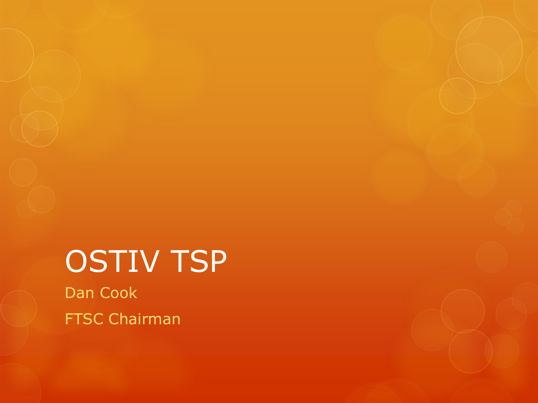# OSTIV TSP Dan Cook

FTSC Chairman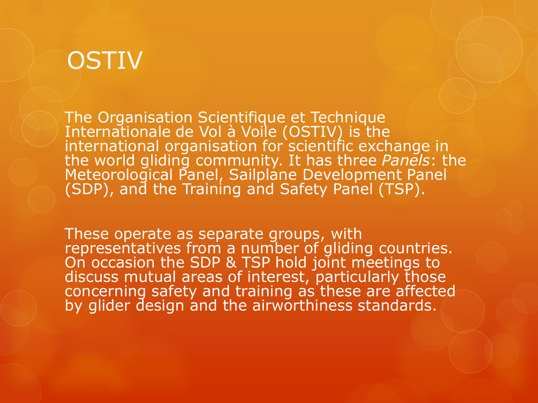#### **OSTIV**

The Organisation Scientifique et Technique Internationale de Vol à Voile (OSTIV) is the international organisation for scientific exchange in the world gliding community. It has three *Panels*: the Meteorological Panel, Sailplane Development Panel (SDP), and the Training and Safety Panel (TSP).

These operate as separate groups, with representatives from a number of gliding countries. On occasion the SDP & TSP hold joint meetings to discuss mutual areas of interest, particularly those concerning safety and training as these are affected by glider design and the airworthiness standards.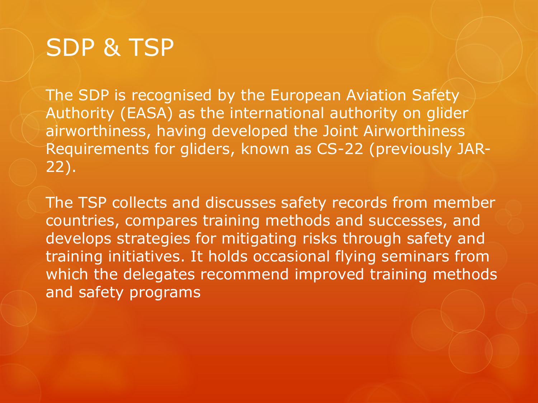## SDP & TSP

The SDP is recognised by the European Aviation Safety Authority (EASA) as the international authority on glider airworthiness, having developed the Joint Airworthiness Requirements for gliders, known as CS-22 (previously JAR-22).

The TSP collects and discusses safety records from member countries, compares training methods and successes, and develops strategies for mitigating risks through safety and training initiatives. It holds occasional flying seminars from which the delegates recommend improved training methods and safety programs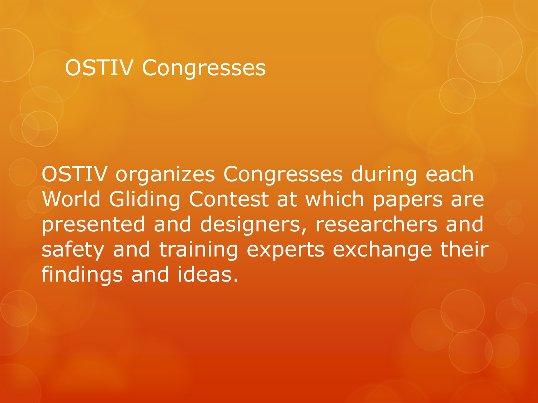#### OSTIV Congresses

OSTIV organizes Congresses during each World Gliding Contest at which papers are presented and designers, researchers and safety and training experts exchange their findings and ideas.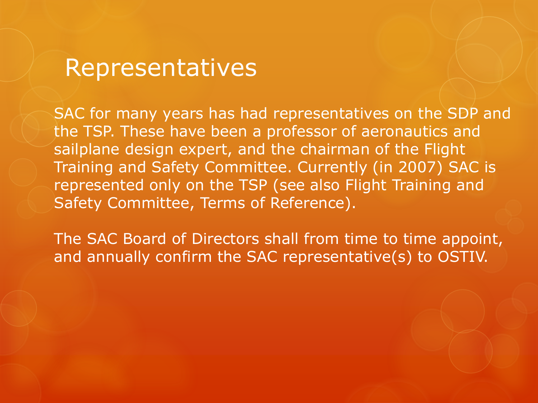#### Representatives

SAC for many years has had representatives on the SDP and the TSP. These have been a professor of aeronautics and sailplane design expert, and the chairman of the Flight Training and Safety Committee. Currently (in 2007) SAC is represented only on the TSP (see also Flight Training and Safety Committee, Terms of Reference).

The SAC Board of Directors shall from time to time appoint, and annually confirm the SAC representative(s) to OSTIV.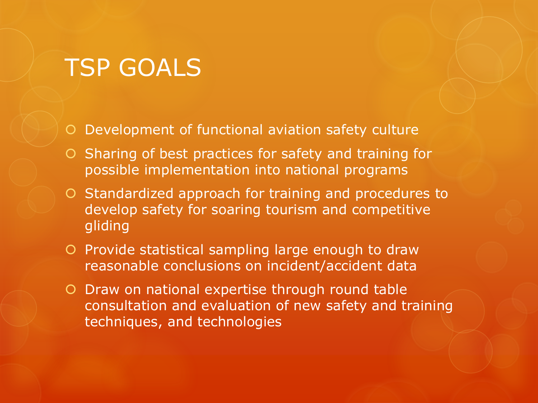### TSP GOALS

Development of functional aviation safety culture

- $\circ$  Sharing of best practices for safety and training for possible implementation into national programs
- O Standardized approach for training and procedures to develop safety for soaring tourism and competitive gliding
- O Provide statistical sampling large enough to draw reasonable conclusions on incident/accident data
- Draw on national expertise through round table consultation and evaluation of new safety and training techniques, and technologies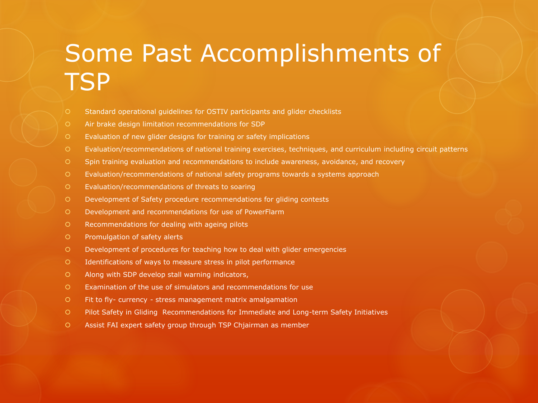## Some Past Accomplishments of **TSP**

- Standard operational guidelines for OSTIV participants and glider checklists
- Air brake design limitation recommendations for SDP
- Evaluation of new glider designs for training or safety implications
- Evaluation/recommendations of national training exercises, techniques, and curriculum including circuit patterns
- Spin training evaluation and recommendations to include awareness, avoidance, and recovery
- Evaluation/recommendations of national safety programs towards a systems approach
- Evaluation/recommendations of threats to soaring
- Development of Safety procedure recommendations for gliding contests
- Development and recommendations for use of PowerFlarm
- Recommendations for dealing with ageing pilots
- O Promulgation of safety alerts
- Development of procedures for teaching how to deal with glider emergencies
- Identifications of ways to measure stress in pilot performance
- Along with SDP develop stall warning indicators,
- Examination of the use of simulators and recommendations for use
- Fit to fly- currency stress management matrix amalgamation
- Pilot Safety in Gliding Recommendations for Immediate and Long-term Safety Initiatives
- Assist FAI expert safety group through TSP Chjairman as member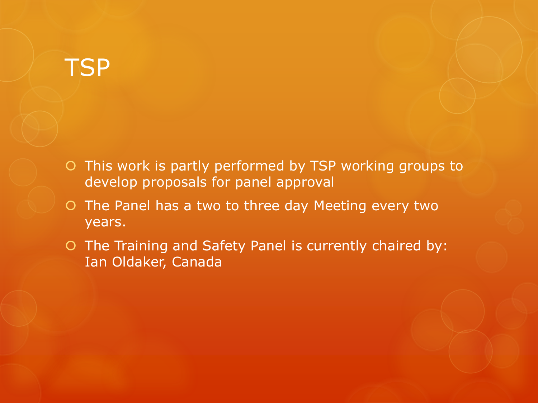#### **TSP**

- O This work is partly performed by TSP working groups to develop proposals for panel approval
- O The Panel has a two to three day Meeting every two years.
- O The Training and Safety Panel is currently chaired by: Ian Oldaker, Canada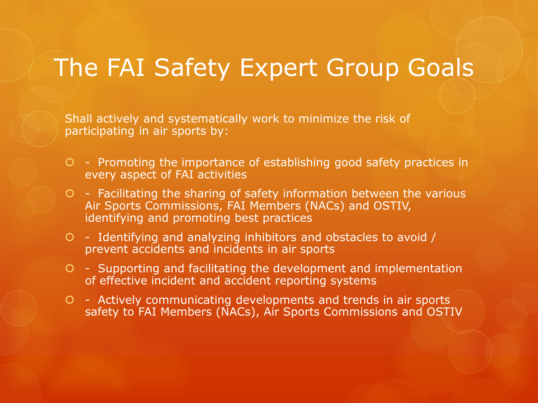#### The FAI Safety Expert Group Goals

Shall actively and systematically work to minimize the risk of participating in air sports by:

- Promoting the importance of establishing good safety practices in every aspect of FAI activities
- $O$  Facilitating the sharing of safety information between the various Air Sports Commissions, FAI Members (NACs) and OSTIV, identifying and promoting best practices
- Identifying and analyzing inhibitors and obstacles to avoid / prevent accidents and incidents in air sports
- Supporting and facilitating the development and implementation of effective incident and accident reporting systems
- Actively communicating developments and trends in air sports safety to FAI Members (NACs), Air Sports Commissions and OSTIV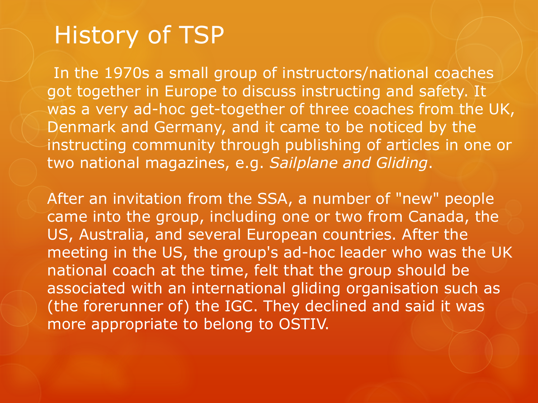### History of TSP

In the 1970s a small group of instructors/national coaches got together in Europe to discuss instructing and safety. It was a very ad-hoc get-together of three coaches from the UK, Denmark and Germany, and it came to be noticed by the instructing community through publishing of articles in one or two national magazines, e.g. *Sailplane and Gliding*.

After an invitation from the SSA, a number of "new" people came into the group, including one or two from Canada, the US, Australia, and several European countries. After the meeting in the US, the group's ad-hoc leader who was the UK national coach at the time, felt that the group should be associated with an international gliding organisation such as (the forerunner of) the IGC. They declined and said it was more appropriate to belong to OSTIV.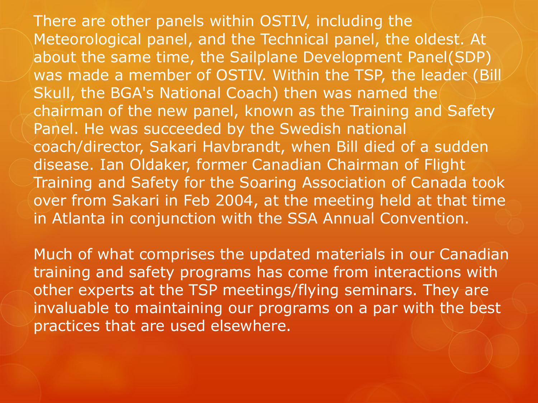There are other panels within OSTIV, including the Meteorological panel, and the Technical panel, the oldest. At about the same time, the Sailplane Development Panel(SDP) was made a member of OSTIV. Within the TSP, the leader (Bill Skull, the BGA's National Coach) then was named the chairman of the new panel, known as the Training and Safety Panel. He was succeeded by the Swedish national coach/director, Sakari Havbrandt, when Bill died of a sudden disease. Ian Oldaker, former Canadian Chairman of Flight Training and Safety for the Soaring Association of Canada took over from Sakari in Feb 2004, at the meeting held at that time in Atlanta in conjunction with the SSA Annual Convention.

Much of what comprises the updated materials in our Canadian training and safety programs has come from interactions with other experts at the TSP meetings/flying seminars. They are invaluable to maintaining our programs on a par with the best practices that are used elsewhere.